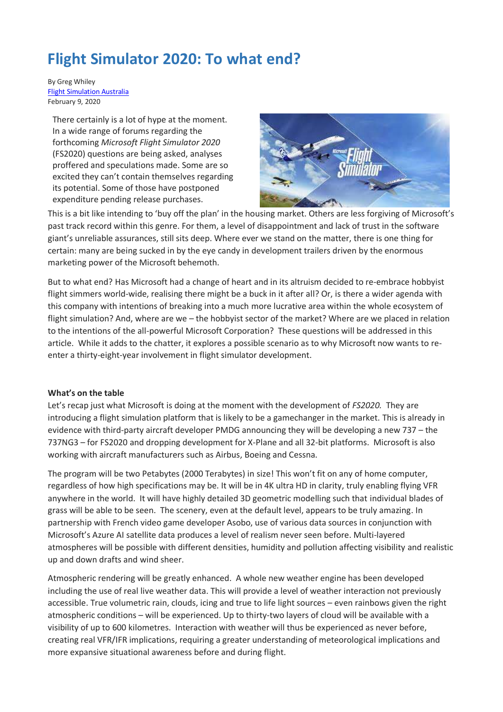# **Flight Simulator 2020: To what end?**

By Greg Whiley [Flight Simulation Australia](https://www.flightsimaus.com.au/home) February 9, 2020

There certainly is a lot of hype at the moment. In a wide range of forums regarding the forthcoming *Microsoft Flight Simulator 2020* (FS2020) questions are being asked, analyses proffered and speculations made. Some are so excited they can't contain themselves regarding its potential. Some of those have postponed expenditure pending release purchases.



This is a bit like intending to 'buy off the plan' in the housing market. Others are less forgiving of Microsoft's past track record within this genre. For them, a level of disappointment and lack of trust in the software giant's unreliable assurances, still sits deep. Where ever we stand on the matter, there is one thing for certain: many are being sucked in by the eye candy in development trailers driven by the enormous marketing power of the Microsoft behemoth.

But to what end? Has Microsoft had a change of heart and in its altruism decided to re-embrace hobbyist flight simmers world-wide, realising there might be a buck in it after all? Or, is there a wider agenda with this company with intentions of breaking into a much more lucrative area within the whole ecosystem of flight simulation? And, where are we – the hobbyist sector of the market? Where are we placed in relation to the intentions of the all-powerful Microsoft Corporation? These questions will be addressed in this article. While it adds to the chatter, it explores a possible scenario as to why Microsoft now wants to reenter a thirty-eight-year involvement in flight simulator development.

#### **What's on the table**

Let's recap just what Microsoft is doing at the moment with the development of *FS2020.* They are introducing a flight simulation platform that is likely to be a gamechanger in the market. This is already in evidence with third-party aircraft developer PMDG announcing they will be developing a new 737 – the 737NG3 – for FS2020 and dropping development for X-Plane and all 32-bit platforms. Microsoft is also working with aircraft manufacturers such as Airbus, Boeing and Cessna.

The program will be two Petabytes (2000 Terabytes) in size! This won't fit on any of home computer, regardless of how high specifications may be. It will be in 4K ultra HD in clarity, truly enabling flying VFR anywhere in the world. It will have highly detailed 3D geometric modelling such that individual blades of grass will be able to be seen. The scenery, even at the default level, appears to be truly amazing. In partnership with French video game developer Asobo, use of various data sources in conjunction with Microsoft's Azure AI satellite data produces a level of realism never seen before. Multi-layered atmospheres will be possible with different densities, humidity and pollution affecting visibility and realistic up and down drafts and wind sheer.

Atmospheric rendering will be greatly enhanced. A whole new weather engine has been developed including the use of real live weather data. This will provide a level of weather interaction not previously accessible. True volumetric rain, clouds, icing and true to life light sources – even rainbows given the right atmospheric conditions – will be experienced. Up to thirty-two layers of cloud will be available with a visibility of up to 600 kilometres. Interaction with weather will thus be experienced as never before, creating real VFR/IFR implications, requiring a greater understanding of meteorological implications and more expansive situational awareness before and during flight.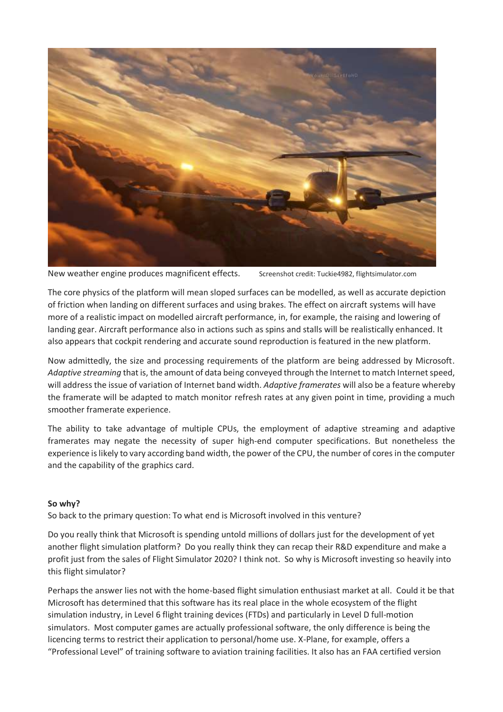

New weather engine produces magnificent effects. Screenshot credit: Tuckie4982, flightsimulator.com

The core physics of the platform will mean sloped surfaces can be modelled, as well as accurate depiction of friction when landing on different surfaces and using brakes. The effect on aircraft systems will have more of a realistic impact on modelled aircraft performance, in, for example, the raising and lowering of landing gear. Aircraft performance also in actions such as spins and stalls will be realistically enhanced. It also appears that cockpit rendering and accurate sound reproduction is featured in the new platform.

Now admittedly, the size and processing requirements of the platform are being addressed by Microsoft. *Adaptive streaming* that is, the amount of data being conveyed through the Internet to match Internet speed, will address the issue of variation of Internet band width. *Adaptive framerates* will also be a feature whereby the framerate will be adapted to match monitor refresh rates at any given point in time, providing a much smoother framerate experience.

The ability to take advantage of multiple CPUs, the employment of adaptive streaming and adaptive framerates may negate the necessity of super high-end computer specifications. But nonetheless the experience is likely to vary according band width, the power of the CPU, the number of cores in the computer and the capability of the graphics card.

## **So why?**

So back to the primary question: To what end is Microsoft involved in this venture?

Do you really think that Microsoft is spending untold millions of dollars just for the development of yet another flight simulation platform? Do you really think they can recap their R&D expenditure and make a profit just from the sales of Flight Simulator 2020? I think not. So why is Microsoft investing so heavily into this flight simulator?

Perhaps the answer lies not with the home-based flight simulation enthusiast market at all. Could it be that Microsoft has determined that this software has its real place in the whole ecosystem of the flight simulation industry, in Level 6 flight training devices (FTDs) and particularly in Level D full-motion simulators. Most computer games are actually professional software, the only difference is being the licencing terms to restrict their application to personal/home use. X-Plane, for example, offers a "Professional Level" of training software to aviation training facilities. It also has an FAA certified version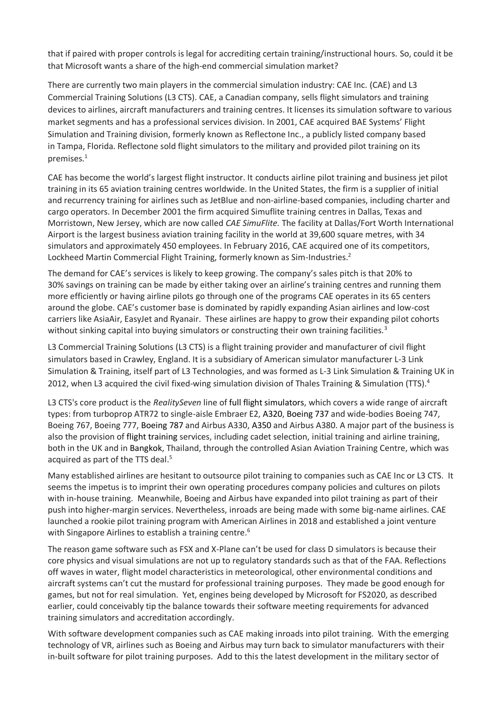that if paired with proper controls is legal for accrediting certain training/instructional hours. So, could it be that Microsoft wants a share of the high-end commercial simulation market?

There are currently two main players in the commercial simulation industry: CAE Inc. (CAE) and L3 Commercial Training Solutions (L3 CTS). CAE, a Canadian company, sells flight simulators and training devices to airlines, aircraft manufacturers and training centres. It licenses its simulation software to various market segments and has a professional services division. In 2001, CAE acquired BAE Systems' Flight Simulation and Training division, formerly known as Reflectone Inc., a publicly listed company based in Tampa, Florida. Reflectone sold flight simulators to the military and provided pilot training on its premises.<sup>1</sup>

CAE has become the world's largest flight instructor. It conducts airline pilot training and business jet pilot training in its 65 aviation training centres worldwide. In the United States, the firm is a supplier of initial and recurrency training for airlines such as JetBlue and non-airline-based companies, including charter and cargo operators. In December 2001 the firm acquired Simuflite training centres in Dallas, Texas and Morristown, New Jersey, which are now called *CAE SimuFlite.* The facility at Dallas/Fort Worth International Airport is the largest business aviation training facility in the world at 39,600 square metres, with 34 simulators and approximately 450 employees. In February 2016, CAE acquired one of its competitors, Lockheed Martin Commercial Flight Training, formerly known as Sim-Industries.<sup>2</sup>

The demand for CAE's services is likely to keep growing. The company's sales pitch is that 20% to 30% savings on training can be made by either taking over an airline's training centres and running them more efficiently or having airline pilots go through one of the programs CAE operates in its 65 centers around the globe. CAE's customer base is dominated by rapidly expanding Asian airlines and low-cost carriers like AsiaAir, EasyJet and Ryanair. These airlines are happy to grow their expanding pilot cohorts without sinking capital into buying simulators or constructing their own training facilities.<sup>3</sup>

L3 Commercial Training Solutions (L3 CTS) is a flight training provider and manufacturer of civil flight simulators based in Crawley, England. It is a subsidiary of American simulator manufacturer L-3 Link Simulation & Training, itself part of L3 Technologies, and was formed as L-3 Link Simulation & Training UK in 2012, when L3 acquired the civil fixed-wing simulation division of Thales Training & Simulation (TTS).<sup>4</sup>

L3 CTS's core product is the *RealitySeven* line of full flight simulators, which covers a wide range of aircraft types: from turboprop ATR72 to single-aisle Embraer E2, A320, Boeing 737 and wide-bodies Boeing 747, Boeing 767, Boeing 777, Boeing 787 and Airbus A330, A350 and Airbus A380. A major part of the business is also the provision of flight training services, including cadet selection, initial training and airline training, both in the UK and in Bangkok, Thailand, through the controlled Asian Aviation Training Centre, which was acquired as part of the TTS deal.<sup>5</sup>

Many established airlines are hesitant to outsource pilot training to companies such as CAE Inc or L3 CTS. It seems the impetus is to imprint their own operating procedures company policies and cultures on pilots with in-house training. Meanwhile, Boeing and Airbus have expanded into pilot training as part of their push into higher-margin services. Nevertheless, inroads are being made with some big-name airlines. CAE launched a rookie pilot training program with American Airlines in 2018 and established a joint venture with Singapore Airlines to establish a training centre.<sup>6</sup>

The reason game software such as FSX and X-Plane can't be used for class D simulators is because their core physics and visual simulations are not up to regulatory standards such as that of the FAA. Reflections off waves in water, flight model characteristics in meteorological, other environmental conditions and aircraft systems can't cut the mustard for professional training purposes. They made be good enough for games, but not for real simulation. Yet, engines being developed by Microsoft for FS2020, as described earlier, could conceivably tip the balance towards their software meeting requirements for advanced training simulators and accreditation accordingly.

With software development companies such as CAE making inroads into pilot training. With the emerging technology of VR, airlines such as Boeing and Airbus may turn back to simulator manufacturers with their in-built software for pilot training purposes. Add to this the latest development in the military sector of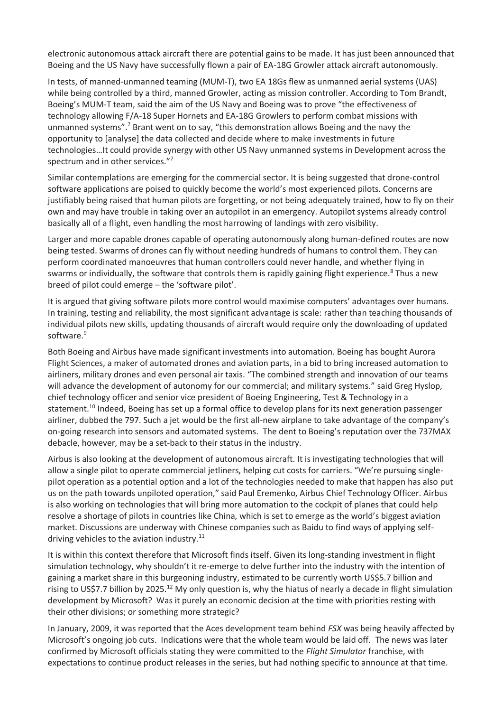electronic autonomous attack aircraft there are potential gains to be made. It has just been announced that Boeing and the US Navy have successfully flown a pair of EA-18G Growler attack aircraft autonomously.

In tests, of manned-unmanned teaming (MUM-T), two EA 18Gs flew as unmanned aerial systems (UAS) while being controlled by a third, manned Growler, acting as mission controller. According to Tom Brandt, Boeing's MUM-T team, said the aim of the US Navy and Boeing was to prove "the effectiveness of technology allowing F/A-18 Super Hornets and EA-18G Growlers to perform combat missions with unmanned systems".<sup>7</sup> Brant went on to say, "this demonstration allows Boeing and the navy the opportunity to [analyse] the data collected and decide where to make investments in future technologies…It could provide synergy with other US Navy unmanned systems in Development across the spectrum and in other services."<sup>7</sup>

Similar contemplations are emerging for the commercial sector. It is being suggested that drone-control software applications are poised to quickly become the world's most experienced pilots. Concerns are justifiably being raised that human pilots are forgetting, or not being adequately trained, how to fly on their own and may have trouble in taking over an autopilot in an emergency. Autopilot systems already control basically all of a flight, even handling the most harrowing of landings with zero visibility.

Larger and more capable drones capable of operating autonomously along human-defined routes are now being tested. Swarms of drones can fly without needing hundreds of humans to control them. They can perform coordinated manoeuvres that human controllers could never handle, and whether flying in swarms or individually, the software that controls them is rapidly gaining flight experience.<sup>8</sup> Thus a new breed of pilot could emerge – the 'software pilot'.

It is argued that giving software pilots more control would maximise computers' advantages over humans. In training, testing and reliability, the most significant advantage is scale: rather than teaching thousands of individual pilots new skills, updating thousands of aircraft would require only the downloading of updated software.<sup>9</sup>

Both Boeing and Airbus have made significant investments into automation. Boeing has bought Aurora Flight Sciences, a maker of automated drones and aviation parts, in a bid to bring increased automation to airliners, military drones and even personal air taxis. "The combined strength and innovation of our teams will advance the development of autonomy for our commercial; and military systems." said Greg Hyslop, chief technology officer and senior vice president of Boeing Engineering, Test & Technology in a statement.<sup>10</sup> Indeed, Boeing has set up a formal office to develop plans for its next generation passenger airliner, dubbed the 797. Such a jet would be the first all-new airplane to take advantage of the company's on-going research into sensors and automated systems. The dent to Boeing's reputation over the 737MAX debacle, however, may be a set-back to their status in the industry.

Airbus is also looking at the development of autonomous aircraft. It is investigating technologies that will allow a single pilot to operate commercial jetliners, helping cut costs for carriers. "We're pursuing singlepilot operation as a potential option and a lot of the technologies needed to make that happen has also put us on the path towards unpiloted operation," said Paul Eremenko, Airbus Chief Technology Officer. Airbus is also working on technologies that will bring more automation to the cockpit of planes that could help resolve a shortage of pilots in countries like China, which is set to emerge as the world's biggest aviation market. Discussions are underway with Chinese companies such as Baidu to find ways of applying selfdriving vehicles to the aviation industry. $11$ 

It is within this context therefore that Microsoft finds itself. Given its long-standing investment in flight simulation technology, why shouldn't it re-emerge to delve further into the industry with the intention of gaining a market share in this burgeoning industry, estimated to be currently worth US\$5.7 billion and rising to US\$7.7 billion by 2025.<sup>12</sup> My only question is, why the hiatus of nearly a decade in flight simulation development by Microsoft? Was it purely an economic decision at the time with priorities resting with their other divisions; or something more strategic?

In January, 2009, it was reported that the Aces development team behind *FSX* was being heavily affected by Microsoft's ongoing job cuts. Indications were that the whole team would be laid off. The news was later confirmed by Microsoft officials stating they were committed to the *Flight Simulator* franchise, with expectations to continue product releases in the series, but had nothing specific to announce at that time.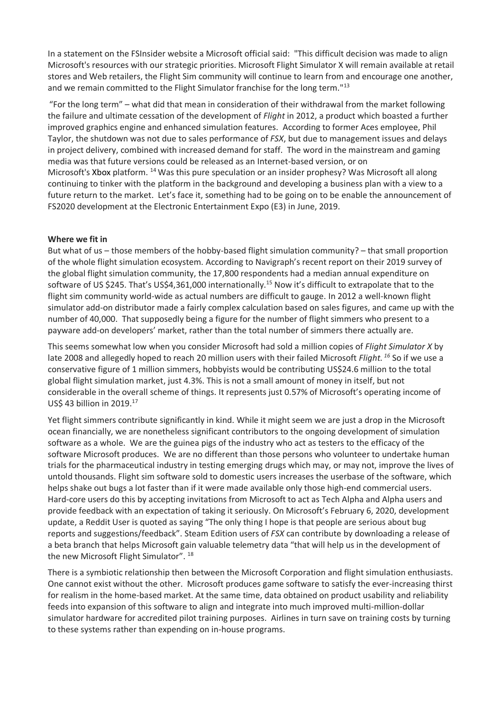In a statement on the FSInsider website a Microsoft official said: "This difficult decision was made to align Microsoft's resources with our strategic priorities. Microsoft Flight Simulator X will remain available at retail stores and Web retailers, the Flight Sim community will continue to learn from and encourage one another, and we remain committed to the Flight Simulator franchise for the long term."<sup>13</sup>

"For the long term" – what did that mean in consideration of their withdrawal from the market following the failure and ultimate cessation of the development of *Flight* in 2012, a product which boasted a further improved graphics engine and enhanced simulation features. According to former Aces employee, Phil Taylor, the shutdown was not due to sales performance of *FSX*, but due to management issues and delays in project delivery, combined with increased demand for staff. The word in the mainstream and gaming media was that future versions could be released as an Internet-based version, or on Microsoft's Xbox platform. <sup>14</sup>Was this pure speculation or an insider prophesy? Was Microsoft all along continuing to tinker with the platform in the background and developing a business plan with a view to a future return to the market. Let's face it, something had to be going on to be enable the announcement of FS2020 development at the Electronic Entertainment Expo (E3) in June, 2019.

#### **Where we fit in**

But what of us – those members of the hobby-based flight simulation community? – that small proportion of the whole flight simulation ecosystem. According to Navigraph's recent report on their 2019 survey of the global flight simulation community, the 17,800 respondents had a median annual expenditure on software of US \$245. That's US\$4,361,000 internationally.<sup>15</sup> Now it's difficult to extrapolate that to the flight sim community world-wide as actual numbers are difficult to gauge. In 2012 a well-known flight simulator add-on distributor made a fairly complex calculation based on sales figures, and came up with the number of 40,000. That supposedly being a figure for the number of flight simmers who present to a payware add-on developers' market, rather than the total number of simmers there actually are.

This seems somewhat low when you consider Microsoft had sold a million copies of *Flight Simulator X* by late 2008 and allegedly hoped to reach 20 million users with their failed Microsoft *Flight. <sup>16</sup>* So if we use a conservative figure of 1 million simmers, hobbyists would be contributing US\$24.6 million to the total global flight simulation market, just 4.3%. This is not a small amount of money in itself, but not considerable in the overall scheme of things. It represents just 0.57% of Microsoft's operating income of US\$ 43 billion in 2019.<sup>17</sup>

Yet flight simmers contribute significantly in kind. While it might seem we are just a drop in the Microsoft ocean financially, we are nonetheless significant contributors to the ongoing development of simulation software as a whole. We are the guinea pigs of the industry who act as testers to the efficacy of the software Microsoft produces. We are no different than those persons who volunteer to undertake human trials for the pharmaceutical industry in testing emerging drugs which may, or may not, improve the lives of untold thousands. Flight sim software sold to domestic users increases the userbase of the software, which helps shake out bugs a lot faster than if it were made available only those high-end commercial users. Hard-core users do this by accepting invitations from Microsoft to act as Tech Alpha and Alpha users and provide feedback with an expectation of taking it seriously. On Microsoft's February 6, 2020, development update, a Reddit User is quoted as saying "The only thing I hope is that people are serious about bug reports and suggestions/feedback". Steam Edition users of *FSX* can contribute by downloading a release of a beta branch that helps Microsoft gain valuable telemetry data "that will help us in the development of the new Microsoft Flight Simulator". <sup>18</sup>

There is a symbiotic relationship then between the Microsoft Corporation and flight simulation enthusiasts. One cannot exist without the other. Microsoft produces game software to satisfy the ever-increasing thirst for realism in the home-based market. At the same time, data obtained on product usability and reliability feeds into expansion of this software to align and integrate into much improved multi-million-dollar simulator hardware for accredited pilot training purposes. Airlines in turn save on training costs by turning to these systems rather than expending on in-house programs.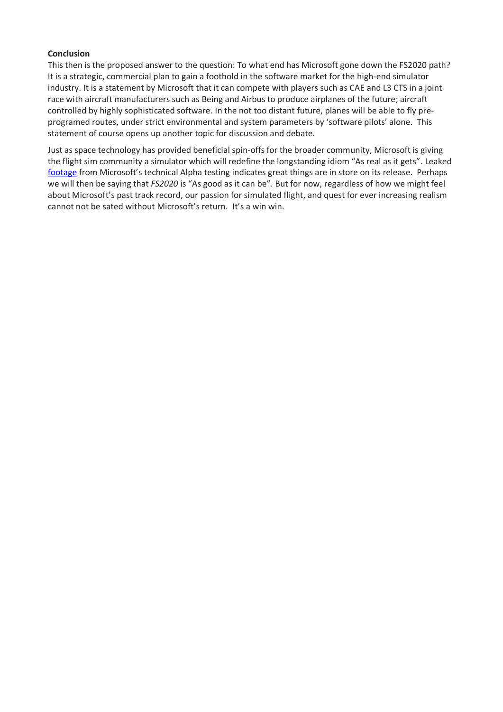#### **Conclusion**

This then is the proposed answer to the question: To what end has Microsoft gone down the FS2020 path? It is a strategic, commercial plan to gain a foothold in the software market for the high-end simulator industry. It is a statement by Microsoft that it can compete with players such as CAE and L3 CTS in a joint race with aircraft manufacturers such as Being and Airbus to produce airplanes of the future; aircraft controlled by highly sophisticated software. In the not too distant future, planes will be able to fly preprogramed routes, under strict environmental and system parameters by 'software pilots' alone. This statement of course opens up another topic for discussion and debate.

Just as space technology has provided beneficial spin-offs for the broader community, Microsoft is giving the flight sim community a simulator which will redefine the longstanding idiom "As real as it gets". Leaked [footage](https://mspoweruser.com/microsoft-flight-simulator-2020-technical-alpha-leaked/) from Microsoft's technical Alpha testing indicates great things are in store on its release. Perhaps we will then be saying that *FS2020* is "As good as it can be". But for now, regardless of how we might feel about Microsoft's past track record, our passion for simulated flight, and quest for ever increasing realism cannot not be sated without Microsoft's return. It's a win win.